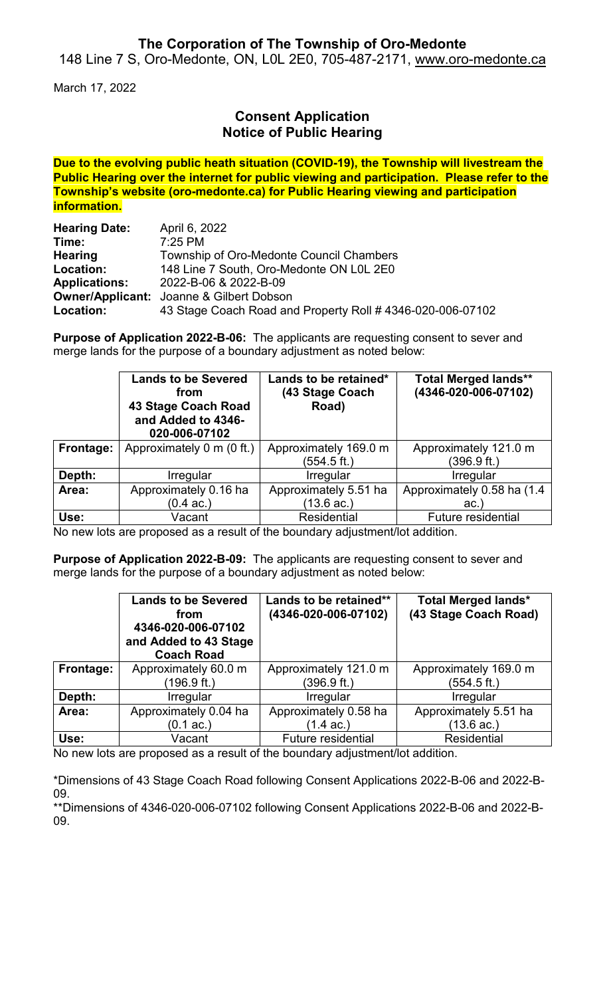## **The Corporation of The Township of Oro-Medonte**

148 Line 7 S, Oro-Medonte, ON, L0L 2E0, 705-487-2171, [www.oro-medonte.ca](http://www.oro-medonte.ca/)

March 17, 2022

# **Consent Application Notice of Public Hearing**

**Due to the evolving public heath situation (COVID-19), the Township will livestream the Public Hearing over the internet for public viewing and participation. Please refer to the Township's website (oro-medonte.ca) for Public Hearing viewing and participation information.**

| <b>Hearing Date:</b> | April 6, 2022                                              |
|----------------------|------------------------------------------------------------|
| Time:                | $7:25$ PM                                                  |
| <b>Hearing</b>       | Township of Oro-Medonte Council Chambers                   |
| Location:            | 148 Line 7 South, Oro-Medonte ON L0L 2E0                   |
| <b>Applications:</b> | 2022-B-06 & 2022-B-09                                      |
|                      | <b>Owner/Applicant:</b> Joanne & Gilbert Dobson            |
| Location:            | 43 Stage Coach Road and Property Roll # 4346-020-006-07102 |

**Purpose of Application 2022-B-06:** The applicants are requesting consent to sever and merge lands for the purpose of a boundary adjustment as noted below:

|           | <b>Lands to be Severed</b><br>from<br><b>43 Stage Coach Road</b><br>and Added to 4346-<br>020-006-07102 | Lands to be retained*<br>(43 Stage Coach<br>Road) | <b>Total Merged lands**</b><br>(4346-020-006-07102) |
|-----------|---------------------------------------------------------------------------------------------------------|---------------------------------------------------|-----------------------------------------------------|
| Frontage: | Approximately 0 m (0 ft.)                                                                               | Approximately 169.0 m                             | Approximately 121.0 m                               |
|           |                                                                                                         | (554.5 ft.)                                       | (396.9 ft.)                                         |
| Depth:    | Irregular                                                                                               | Irregular                                         | Irregular                                           |
| Area:     | Approximately 0.16 ha                                                                                   | Approximately 5.51 ha                             | Approximately 0.58 ha (1.4                          |
|           | $(0.4 \text{ ac.})$                                                                                     | (13.6 ac.)                                        | ac.                                                 |
| Use:      | Vacant                                                                                                  | Residential                                       | <b>Future residential</b>                           |

No new lots are proposed as a result of the boundary adjustment/lot addition.

**Purpose of Application 2022-B-09:** The applicants are requesting consent to sever and merge lands for the purpose of a boundary adjustment as noted below:

|           | <b>Lands to be Severed</b><br>from<br>4346-020-006-07102<br>and Added to 43 Stage<br><b>Coach Road</b> | Lands to be retained**<br>(4346-020-006-07102) | <b>Total Merged lands*</b><br>(43 Stage Coach Road) |
|-----------|--------------------------------------------------------------------------------------------------------|------------------------------------------------|-----------------------------------------------------|
| Frontage: | Approximately 60.0 m                                                                                   | Approximately 121.0 m                          | Approximately 169.0 m                               |
|           | (196.9 ft.)                                                                                            | (396.9 ft.)                                    | (554.5 ft.)                                         |
| Depth:    | Irregular                                                                                              | <b>Irregular</b>                               | Irregular                                           |
| Area:     | Approximately 0.04 ha                                                                                  | Approximately 0.58 ha                          | Approximately 5.51 ha                               |
|           | $(0.1 \text{ ac.})$                                                                                    | (1.4 ac.)                                      | (13.6 ac.)                                          |
| Use:      | Vacant                                                                                                 | Future residential                             | <b>Residential</b>                                  |

No new lots are proposed as a result of the boundary adjustment/lot addition.

\*Dimensions of 43 Stage Coach Road following Consent Applications 2022-B-06 and 2022-B-09.

\*\*Dimensions of 4346-020-006-07102 following Consent Applications 2022-B-06 and 2022-B-09.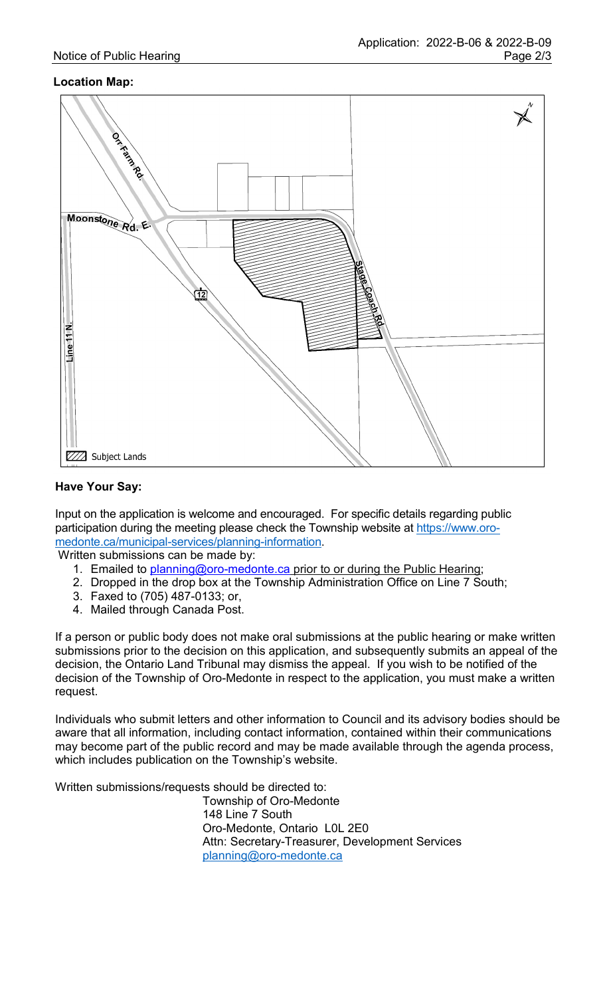## **Location Map:**



#### **Have Your Say:**

Input on the application is welcome and encouraged. For specific details regarding public participation during the meeting please check the Township website at [https://www.oro](https://www.oro-medonte.ca/municipal-services/planning-information)[medonte.ca/municipal-services/planning-information.](https://www.oro-medonte.ca/municipal-services/planning-information)

Written submissions can be made by:

- 1. Emailed to [planning@oro-medonte.ca](mailto:planning@oro-medonte.ca) prior to or during the Public Hearing;
- 2. Dropped in the drop box at the Township Administration Office on Line 7 South;
- 3. Faxed to (705) 487-0133; or,
- 4. Mailed through Canada Post.

If a person or public body does not make oral submissions at the public hearing or make written submissions prior to the decision on this application, and subsequently submits an appeal of the decision, the Ontario Land Tribunal may dismiss the appeal. If you wish to be notified of the decision of the Township of Oro-Medonte in respect to the application, you must make a written request.

Individuals who submit letters and other information to Council and its advisory bodies should be aware that all information, including contact information, contained within their communications may become part of the public record and may be made available through the agenda process, which includes publication on the Township's website.

Written submissions/requests should be directed to:

Township of Oro-Medonte 148 Line 7 South Oro-Medonte, Ontario L0L 2E0 Attn: Secretary-Treasurer, Development Services [planning@oro-medonte.ca](mailto:planning@oro-medonte.ca)